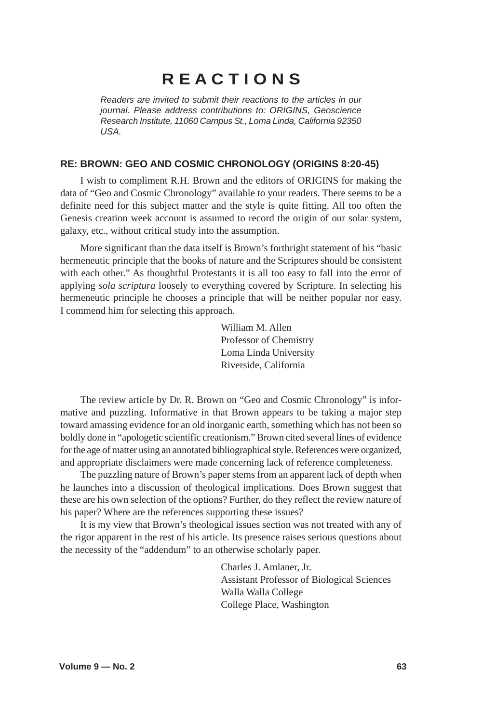# **R E A C T I O N S**

*Readers are invited to submit their reactions to the articles in our journal. Please address contributions to: ORIGINS, Geoscience Research Institute, 11060 Campus St., Loma Linda, California 92350 USA.*

## **RE: BROWN: GEO AND COSMIC CHRONOLOGY (ORIGINS 8:20-45)**

I wish to compliment R.H. Brown and the editors of ORIGINS for making the data of "Geo and Cosmic Chronology" available to your readers. There seems to be a definite need for this subject matter and the style is quite fitting. All too often the Genesis creation week account is assumed to record the origin of our solar system, galaxy, etc., without critical study into the assumption.

More significant than the data itself is Brown's forthright statement of his "basic hermeneutic principle that the books of nature and the Scriptures should be consistent with each other." As thoughtful Protestants it is all too easy to fall into the error of applying *sola scriptura* loosely to everything covered by Scripture. In selecting his hermeneutic principle he chooses a principle that will be neither popular nor easy. I commend him for selecting this approach.

> William M. Allen Professor of Chemistry Loma Linda University Riverside, California

The review article by Dr. R. Brown on "Geo and Cosmic Chronology" is informative and puzzling. Informative in that Brown appears to be taking a major step toward amassing evidence for an old inorganic earth, something which has not been so boldly done in "apologetic scientific creationism." Brown cited several lines of evidence for the age of matter using an annotated bibliographical style. References were organized, and appropriate disclaimers were made concerning lack of reference completeness.

The puzzling nature of Brown's paper stems from an apparent lack of depth when he launches into a discussion of theological implications. Does Brown suggest that these are his own selection of the options? Further, do they reflect the review nature of his paper? Where are the references supporting these issues?

It is my view that Brown's theological issues section was not treated with any of the rigor apparent in the rest of his article. Its presence raises serious questions about the necessity of the "addendum" to an otherwise scholarly paper.

> Charles J. Amlaner, Jr. Assistant Professor of Biological Sciences Walla Walla College College Place, Washington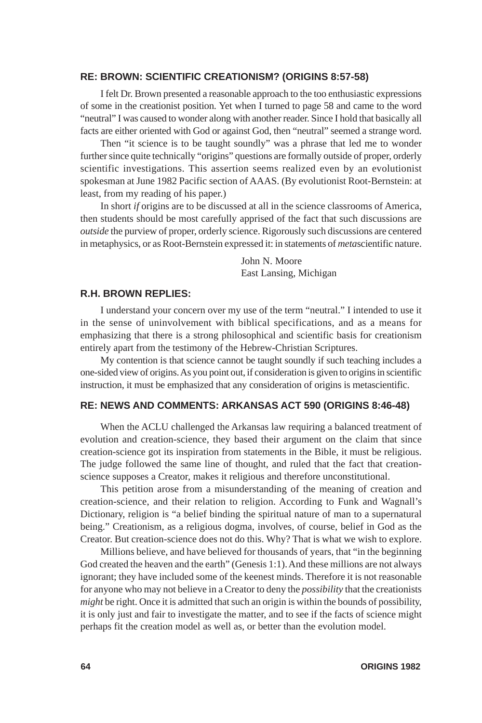#### **RE: BROWN: SCIENTIFIC CREATIONISM? (ORIGINS 8:57-58)**

I felt Dr. Brown presented a reasonable approach to the too enthusiastic expressions of some in the creationist position. Yet when I turned to page 58 and came to the word "neutral" I was caused to wonder along with another reader. Since I hold that basically all facts are either oriented with God or against God, then "neutral" seemed a strange word.

Then "it science is to be taught soundly" was a phrase that led me to wonder further since quite technically "origins" questions are formally outside of proper, orderly scientific investigations. This assertion seems realized even by an evolutionist spokesman at June 1982 Pacific section of AAAS. (By evolutionist Root-Bernstein: at least, from my reading of his paper.)

In short *if* origins are to be discussed at all in the science classrooms of America, then students should be most carefully apprised of the fact that such discussions are *outside* the purview of proper, orderly science. Rigorously such discussions are centered in metaphysics, or as Root-Bernstein expressed it: in statements of *meta*scientific nature.

> John N. Moore East Lansing, Michigan

### **R.H. BROWN REPLIES:**

I understand your concern over my use of the term "neutral." I intended to use it in the sense of uninvolvement with biblical specifications, and as a means for emphasizing that there is a strong philosophical and scientific basis for creationism entirely apart from the testimony of the Hebrew-Christian Scriptures.

My contention is that science cannot be taught soundly if such teaching includes a one-sided view of origins. As you point out, if consideration is given to origins in scientific instruction, it must be emphasized that any consideration of origins is metascientific.

## **RE: NEWS AND COMMENTS: ARKANSAS ACT 590 (ORIGINS 8:46-48)**

When the ACLU challenged the Arkansas law requiring a balanced treatment of evolution and creation-science, they based their argument on the claim that since creation-science got its inspiration from statements in the Bible, it must be religious. The judge followed the same line of thought, and ruled that the fact that creationscience supposes a Creator, makes it religious and therefore unconstitutional.

This petition arose from a misunderstanding of the meaning of creation and creation-science, and their relation to religion. According to Funk and Wagnall's Dictionary, religion is "a belief binding the spiritual nature of man to a supernatural being." Creationism, as a religious dogma, involves, of course, belief in God as the Creator. But creation-science does not do this. Why? That is what we wish to explore.

Millions believe, and have believed for thousands of years, that "in the beginning God created the heaven and the earth" (Genesis 1:1). And these millions are not always ignorant; they have included some of the keenest minds. Therefore it is not reasonable for anyone who may not believe in a Creator to deny the *possibility* that the creationists *might* be right. Once it is admitted that such an origin is within the bounds of possibility, it is only just and fair to investigate the matter, and to see if the facts of science might perhaps fit the creation model as well as, or better than the evolution model.